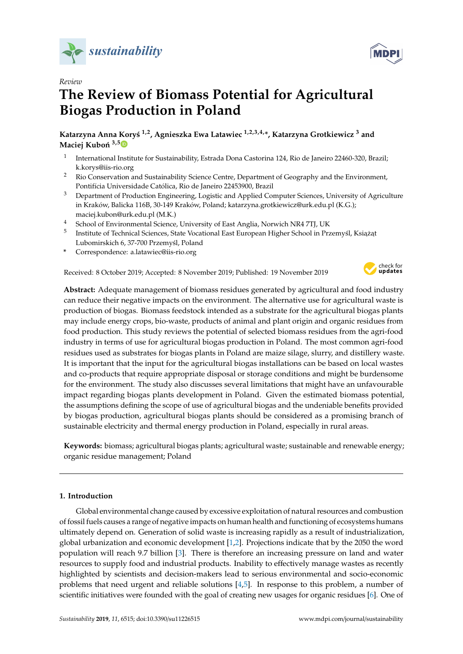

*Review*

# **The Review of Biomass Potential for Agricultural Biogas Production in Poland**

**Katarzyna Anna Kory´s 1,2, Agnieszka Ewa Latawiec 1,2,3,4,\*, Katarzyna Grotkiewicz <sup>3</sup> and Maciej Kuboń** <sup>3,[5](https://orcid.org/0000-0003-4847-8743)</sup><sup>0</sup>

- 1 International Institute for Sustainability, Estrada Dona Castorina 124, Rio de Janeiro 22460-320, Brazil; k.korys@iis-rio.org
- <sup>2</sup> Rio Conservation and Sustainability Science Centre, Department of Geography and the Environment, Pontifícia Universidade Católica, Rio de Janeiro 22453900, Brazil
- <sup>3</sup> Department of Production Engineering, Logistic and Applied Computer Sciences, University of Agriculture in Kraków, Balicka 116B, 30-149 Kraków, Poland; katarzyna.grotkiewicz@urk.edu.pl (K.G.); maciej.kubon@urk.edu.pl (M.K.)
- <sup>4</sup> School of Environmental Science, University of East Anglia, Norwich NR4 7TJ, UK
- 5 Institute of Technical Sciences, State Vocational East European Higher School in Przemyśl, Książąt Lubomirskich 6, 37-700 Przemyśl, Poland
- **\*** Correspondence: a.latawiec@iis-rio.org

Received: 8 October 2019; Accepted: 8 November 2019; Published: 19 November 2019



**Abstract:** Adequate management of biomass residues generated by agricultural and food industry can reduce their negative impacts on the environment. The alternative use for agricultural waste is production of biogas. Biomass feedstock intended as a substrate for the agricultural biogas plants may include energy crops, bio-waste, products of animal and plant origin and organic residues from food production. This study reviews the potential of selected biomass residues from the agri-food industry in terms of use for agricultural biogas production in Poland. The most common agri-food residues used as substrates for biogas plants in Poland are maize silage, slurry, and distillery waste. It is important that the input for the agricultural biogas installations can be based on local wastes and co-products that require appropriate disposal or storage conditions and might be burdensome for the environment. The study also discusses several limitations that might have an unfavourable impact regarding biogas plants development in Poland. Given the estimated biomass potential, the assumptions defining the scope of use of agricultural biogas and the undeniable benefits provided by biogas production, agricultural biogas plants should be considered as a promising branch of sustainable electricity and thermal energy production in Poland, especially in rural areas.

**Keywords:** biomass; agricultural biogas plants; agricultural waste; sustainable and renewable energy; organic residue management; Poland

## **1. Introduction**

Global environmental change caused by excessive exploitation of natural resources and combustion of fossil fuels causes a range of negative impacts on human health and functioning of ecosystems humans ultimately depend on. Generation of solid waste is increasing rapidly as a result of industrialization, global urbanization and economic development [\[1](#page-7-0)[,2\]](#page-7-1). Projections indicate that by the 2050 the word population will reach 9.7 billion [\[3\]](#page-7-2). There is therefore an increasing pressure on land and water resources to supply food and industrial products. Inability to effectively manage wastes as recently highlighted by scientists and decision-makers lead to serious environmental and socio-economic problems that need urgent and reliable solutions [\[4](#page-7-3)[,5\]](#page-7-4). In response to this problem, a number of scientific initiatives were founded with the goal of creating new usages for organic residues [\[6\]](#page-7-5). One of

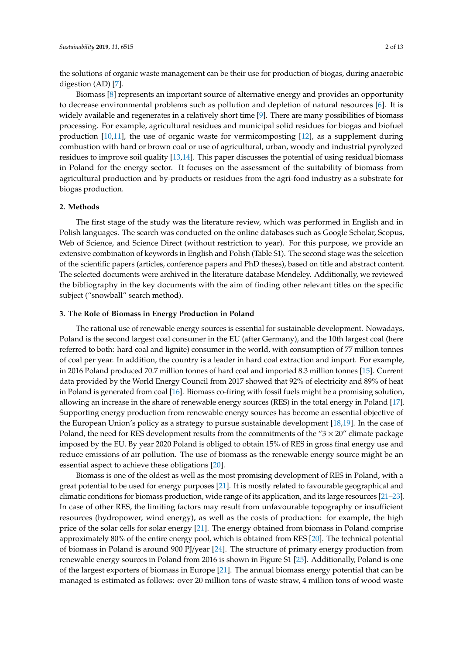the solutions of organic waste management can be their use for production of biogas, during anaerobic digestion (AD) [\[7\]](#page-8-0).

Biomass [\[8\]](#page-8-1) represents an important source of alternative energy and provides an opportunity to decrease environmental problems such as pollution and depletion of natural resources [\[6\]](#page-7-5). It is widely available and regenerates in a relatively short time [\[9\]](#page-8-2). There are many possibilities of biomass processing. For example, agricultural residues and municipal solid residues for biogas and biofuel production [\[10,](#page-8-3)[11\]](#page-8-4), the use of organic waste for vermicomposting [\[12\]](#page-8-5), as a supplement during combustion with hard or brown coal or use of agricultural, urban, woody and industrial pyrolyzed residues to improve soil quality [\[13,](#page-8-6)[14\]](#page-8-7). This paper discusses the potential of using residual biomass in Poland for the energy sector. It focuses on the assessment of the suitability of biomass from agricultural production and by-products or residues from the agri-food industry as a substrate for biogas production.

## **2. Methods**

The first stage of the study was the literature review, which was performed in English and in Polish languages. The search was conducted on the online databases such as Google Scholar, Scopus, Web of Science, and Science Direct (without restriction to year). For this purpose, we provide an extensive combination of keywords in English and Polish (Table S1). The second stage was the selection of the scientific papers (articles, conference papers and PhD theses), based on title and abstract content. The selected documents were archived in the literature database Mendeley. Additionally, we reviewed the bibliography in the key documents with the aim of finding other relevant titles on the specific subject ("snowball" search method).

#### **3. The Role of Biomass in Energy Production in Poland**

The rational use of renewable energy sources is essential for sustainable development. Nowadays, Poland is the second largest coal consumer in the EU (after Germany), and the 10th largest coal (here referred to both: hard coal and lignite) consumer in the world, with consumption of 77 million tonnes of coal per year. In addition, the country is a leader in hard coal extraction and import. For example, in 2016 Poland produced 70.7 million tonnes of hard coal and imported 8.3 million tonnes [\[15\]](#page-8-8). Current data provided by the World Energy Council from 2017 showed that 92% of electricity and 89% of heat in Poland is generated from coal [\[16\]](#page-8-9). Biomass co-firing with fossil fuels might be a promising solution, allowing an increase in the share of renewable energy sources (RES) in the total energy in Poland [\[17\]](#page-8-10). Supporting energy production from renewable energy sources has become an essential objective of the European Union's policy as a strategy to pursue sustainable development [\[18](#page-8-11)[,19\]](#page-8-12). In the case of Poland, the need for RES development results from the commitments of the " $3 \times 20$ " climate package imposed by the EU. By year 2020 Poland is obliged to obtain 15% of RES in gross final energy use and reduce emissions of air pollution. The use of biomass as the renewable energy source might be an essential aspect to achieve these obligations [\[20\]](#page-8-13).

Biomass is one of the oldest as well as the most promising development of RES in Poland, with a great potential to be used for energy purposes [\[21\]](#page-8-14). It is mostly related to favourable geographical and climatic conditions for biomass production, wide range of its application, and its large resources [\[21–](#page-8-14)[23\]](#page-8-15). In case of other RES, the limiting factors may result from unfavourable topography or insufficient resources (hydropower, wind energy), as well as the costs of production: for example, the high price of the solar cells for solar energy [\[21\]](#page-8-14). The energy obtained from biomass in Poland comprise approximately 80% of the entire energy pool, which is obtained from RES [\[20\]](#page-8-13). The technical potential of biomass in Poland is around 900 PJ/year [\[24\]](#page-8-16). The structure of primary energy production from renewable energy sources in Poland from 2016 is shown in Figure S1 [\[25\]](#page-8-17). Additionally, Poland is one of the largest exporters of biomass in Europe [\[21\]](#page-8-14). The annual biomass energy potential that can be managed is estimated as follows: over 20 million tons of waste straw, 4 million tons of wood waste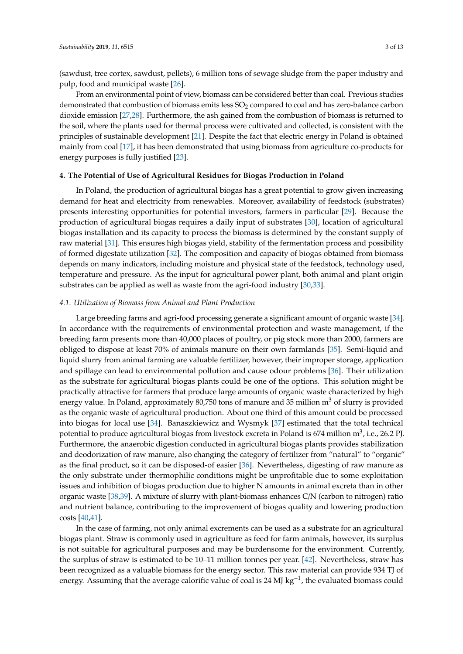(sawdust, tree cortex, sawdust, pellets), 6 million tons of sewage sludge from the paper industry and pulp, food and municipal waste [\[26\]](#page-8-18).

From an environmental point of view, biomass can be considered better than coal. Previous studies demonstrated that combustion of biomass emits less SO<sub>2</sub> compared to coal and has zero-balance carbon dioxide emission [\[27](#page-8-19)[,28\]](#page-9-0). Furthermore, the ash gained from the combustion of biomass is returned to the soil, where the plants used for thermal process were cultivated and collected, is consistent with the principles of sustainable development [\[21\]](#page-8-14). Despite the fact that electric energy in Poland is obtained mainly from coal [\[17\]](#page-8-10), it has been demonstrated that using biomass from agriculture co-products for energy purposes is fully justified [\[23\]](#page-8-15).

## **4. The Potential of Use of Agricultural Residues for Biogas Production in Poland**

In Poland, the production of agricultural biogas has a great potential to grow given increasing demand for heat and electricity from renewables. Moreover, availability of feedstock (substrates) presents interesting opportunities for potential investors, farmers in particular [\[29\]](#page-9-1). Because the production of agricultural biogas requires a daily input of substrates [\[30\]](#page-9-2), location of agricultural biogas installation and its capacity to process the biomass is determined by the constant supply of raw material [\[31\]](#page-9-3). This ensures high biogas yield, stability of the fermentation process and possibility of formed digestate utilization [\[32\]](#page-9-4). The composition and capacity of biogas obtained from biomass depends on many indicators, including moisture and physical state of the feedstock, technology used, temperature and pressure. As the input for agricultural power plant, both animal and plant origin substrates can be applied as well as waste from the agri-food industry [\[30](#page-9-2)[,33\]](#page-9-5).

## *4.1. Utilization of Biomass from Animal and Plant Production*

Large breeding farms and agri-food processing generate a significant amount of organic waste [\[34\]](#page-9-6). In accordance with the requirements of environmental protection and waste management, if the breeding farm presents more than 40,000 places of poultry, or pig stock more than 2000, farmers are obliged to dispose at least 70% of animals manure on their own farmlands [\[35\]](#page-9-7). Semi-liquid and liquid slurry from animal farming are valuable fertilizer, however, their improper storage, application and spillage can lead to environmental pollution and cause odour problems [\[36\]](#page-9-8). Their utilization as the substrate for agricultural biogas plants could be one of the options. This solution might be practically attractive for farmers that produce large amounts of organic waste characterized by high energy value. In Poland, approximately 80,750 tons of manure and 35 million m<sup>3</sup> of slurry is provided as the organic waste of agricultural production. About one third of this amount could be processed into biogas for local use [\[34\]](#page-9-6). Banaszkiewicz and Wysmyk [\[37\]](#page-9-9) estimated that the total technical potential to produce agricultural biogas from livestock excreta in Poland is 674 million m $^3$ , i.e., 26.2 PJ. Furthermore, the anaerobic digestion conducted in agricultural biogas plants provides stabilization and deodorization of raw manure, also changing the category of fertilizer from "natural" to "organic" as the final product, so it can be disposed-of easier [\[36\]](#page-9-8). Nevertheless, digesting of raw manure as the only substrate under thermophilic conditions might be unprofitable due to some exploitation issues and inhibition of biogas production due to higher N amounts in animal excreta than in other organic waste [\[38,](#page-9-10)[39\]](#page-9-11). A mixture of slurry with plant-biomass enhances C/N (carbon to nitrogen) ratio and nutrient balance, contributing to the improvement of biogas quality and lowering production costs [\[40](#page-9-12)[,41\]](#page-9-13).

In the case of farming, not only animal excrements can be used as a substrate for an agricultural biogas plant. Straw is commonly used in agriculture as feed for farm animals, however, its surplus is not suitable for agricultural purposes and may be burdensome for the environment. Currently, the surplus of straw is estimated to be 10–11 million tonnes per year. [\[42\]](#page-9-14). Nevertheless, straw has been recognized as a valuable biomass for the energy sector. This raw material can provide 934 TJ of energy. Assuming that the average calorific value of coal is 24 MJ kg<sup>-1</sup>, the evaluated biomass could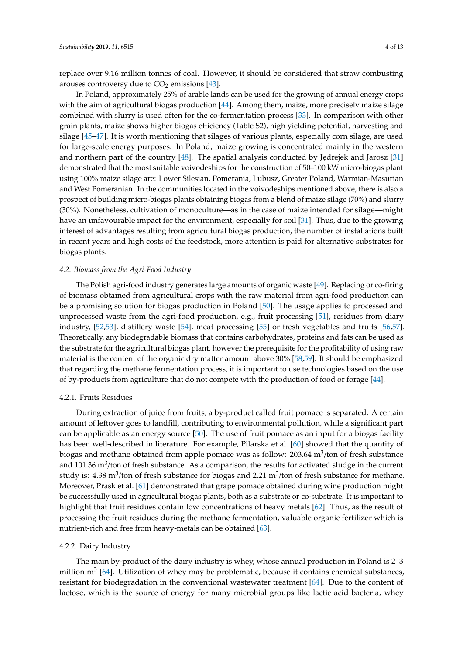replace over 9.16 million tonnes of coal. However, it should be considered that straw combusting arouses controversy due to  $CO<sub>2</sub>$  emissions [\[43\]](#page-9-15).

In Poland, approximately 25% of arable lands can be used for the growing of annual energy crops with the aim of agricultural biogas production [\[44\]](#page-9-16). Among them, maize, more precisely maize silage combined with slurry is used often for the co-fermentation process [\[33\]](#page-9-5). In comparison with other grain plants, maize shows higher biogas efficiency (Table S2), high yielding potential, harvesting and silage [\[45](#page-9-17)[–47\]](#page-9-18). It is worth mentioning that silages of various plants, especially corn silage, are used for large-scale energy purposes. In Poland, maize growing is concentrated mainly in the western and northern part of the country  $[48]$ . The spatial analysis conducted by Jedrejek and Jarosz  $[31]$ demonstrated that the most suitable voivodeships for the construction of 50–100 kW micro-biogas plant using 100% maize silage are: Lower Silesian, Pomerania, Lubusz, Greater Poland, Warmian-Masurian and West Pomeranian. In the communities located in the voivodeships mentioned above, there is also a prospect of building micro-biogas plants obtaining biogas from a blend of maize silage (70%) and slurry (30%). Nonetheless, cultivation of monoculture—as in the case of maize intended for silage—might have an unfavourable impact for the environment, especially for soil [\[31\]](#page-9-3). Thus, due to the growing interest of advantages resulting from agricultural biogas production, the number of installations built in recent years and high costs of the feedstock, more attention is paid for alternative substrates for biogas plants.

#### *4.2. Biomass from the Agri-Food Industry*

The Polish agri-food industry generates large amounts of organic waste [\[49\]](#page-9-20). Replacing or co-firing of biomass obtained from agricultural crops with the raw material from agri-food production can be a promising solution for biogas production in Poland [\[50\]](#page-9-21). The usage applies to processed and unprocessed waste from the agri-food production, e.g., fruit processing [\[51\]](#page-10-0), residues from diary industry, [\[52](#page-10-1)[,53\]](#page-10-2), distillery waste [\[54\]](#page-10-3), meat processing [\[55\]](#page-10-4) or fresh vegetables and fruits [\[56,](#page-10-5)[57\]](#page-10-6). Theoretically, any biodegradable biomass that contains carbohydrates, proteins and fats can be used as the substrate for the agricultural biogas plant, however the prerequisite for the profitability of using raw material is the content of the organic dry matter amount above 30% [\[58](#page-10-7)[,59\]](#page-10-8). It should be emphasized that regarding the methane fermentation process, it is important to use technologies based on the use of by-products from agriculture that do not compete with the production of food or forage [\[44\]](#page-9-16).

## 4.2.1. Fruits Residues

During extraction of juice from fruits, a by-product called fruit pomace is separated. A certain amount of leftover goes to landfill, contributing to environmental pollution, while a significant part can be applicable as an energy source [\[50\]](#page-9-21). The use of fruit pomace as an input for a biogas facility has been well-described in literature. For example, Pilarska et al. [\[60\]](#page-10-9) showed that the quantity of biogas and methane obtained from apple pomace was as follow: 203.64  $m^3$ /ton of fresh substance and 101.36  $\text{m}^3$ /ton of fresh substance. As a comparison, the results for activated sludge in the current study is:  $4.38 \text{ m}^3$ /ton of fresh substance for biogas and  $2.21 \text{ m}^3$ /ton of fresh substance for methane. Moreover, Prask et al. [\[61\]](#page-10-10) demonstrated that grape pomace obtained during wine production might be successfully used in agricultural biogas plants, both as a substrate or co-substrate. It is important to highlight that fruit residues contain low concentrations of heavy metals [\[62\]](#page-10-11). Thus, as the result of processing the fruit residues during the methane fermentation, valuable organic fertilizer which is nutrient-rich and free from heavy-metals can be obtained [\[63\]](#page-10-12).

#### 4.2.2. Dairy Industry

The main by-product of the dairy industry is whey, whose annual production in Poland is 2–3 million m<sup>3</sup> [\[64\]](#page-10-13). Utilization of whey may be problematic, because it contains chemical substances, resistant for biodegradation in the conventional wastewater treatment [\[64\]](#page-10-13). Due to the content of lactose, which is the source of energy for many microbial groups like lactic acid bacteria, whey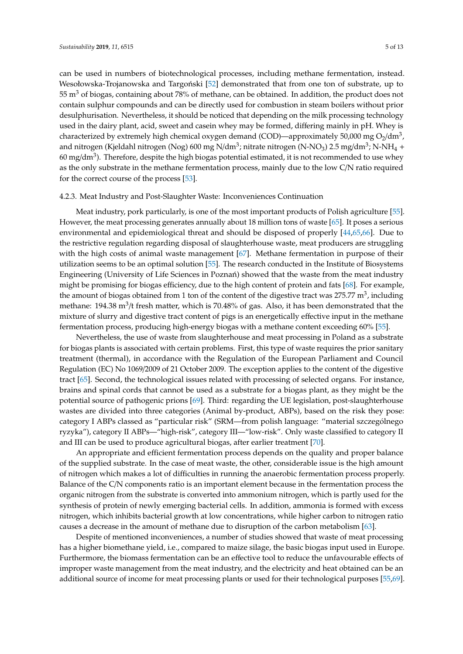can be used in numbers of biotechnological processes, including methane fermentation, instead. Wesołowska-Trojanowska and Targoński [\[52\]](#page-10-1) demonstrated that from one ton of substrate, up to  $55 \text{ m}^3$  of biogas, containing about 78% of methane, can be obtained. In addition, the product does not contain sulphur compounds and can be directly used for combustion in steam boilers without prior desulphurisation. Nevertheless, it should be noticed that depending on the milk processing technology used in the dairy plant, acid, sweet and casein whey may be formed, differing mainly in pH. Whey is characterized by extremely high chemical oxygen demand (COD)—approximately 50,000 mg  $O_2$ /dm<sup>3</sup>, and nitrogen (Kjeldahl nitrogen (Nog) 600 mg N/dm $^3$ ; nitrate nitrogen (N-NO<sub>3</sub>) 2.5 mg/dm $^3$ ; N-NH<sub>4</sub> + 60 mg/dm<sup>3</sup>). Therefore, despite the high biogas potential estimated, it is not recommended to use whey as the only substrate in the methane fermentation process, mainly due to the low C/N ratio required for the correct course of the process [\[53\]](#page-10-2).

## 4.2.3. Meat Industry and Post-Slaughter Waste: Inconveniences Continuation

Meat industry, pork particularly, is one of the most important products of Polish agriculture [\[55\]](#page-10-4). However, the meat processing generates annually about 18 million tons of waste [\[65\]](#page-10-14). It poses a serious environmental and epidemiological threat and should be disposed of properly [\[44,](#page-9-16)[65,](#page-10-14)[66\]](#page-10-15). Due to the restrictive regulation regarding disposal of slaughterhouse waste, meat producers are struggling with the high costs of animal waste management [\[67\]](#page-10-16). Methane fermentation in purpose of their utilization seems to be an optimal solution [\[55\]](#page-10-4). The research conducted in the Institute of Biosystems Engineering (University of Life Sciences in Poznań) showed that the waste from the meat industry might be promising for biogas efficiency, due to the high content of protein and fats [\[68\]](#page-10-17). For example, the amount of biogas obtained from 1 ton of the content of the digestive tract was 275.77  $m^3$ , including methane: 194.38 m<sup>3</sup>/t fresh matter, which is 70.48% of gas. Also, it has been demonstrated that the mixture of slurry and digestive tract content of pigs is an energetically effective input in the methane fermentation process, producing high-energy biogas with a methane content exceeding 60% [\[55\]](#page-10-4).

Nevertheless, the use of waste from slaughterhouse and meat processing in Poland as a substrate for biogas plants is associated with certain problems. First, this type of waste requires the prior sanitary treatment (thermal), in accordance with the Regulation of the European Parliament and Council Regulation (EC) No 1069/2009 of 21 October 2009. The exception applies to the content of the digestive tract [\[65\]](#page-10-14). Second, the technological issues related with processing of selected organs. For instance, brains and spinal cords that cannot be used as a substrate for a biogas plant, as they might be the potential source of pathogenic prions [\[69\]](#page-10-18). Third: regarding the UE legislation, post-slaughterhouse wastes are divided into three categories (Animal by-product, ABPs), based on the risk they pose: category I ABPs classed as "particular risk" (SRM—from polish language: "material szczególnego ryzyka"), category II ABPs—"high-risk", category III—"low-risk". Only waste classified to category II and III can be used to produce agricultural biogas, after earlier treatment [\[70\]](#page-10-19).

An appropriate and efficient fermentation process depends on the quality and proper balance of the supplied substrate. In the case of meat waste, the other, considerable issue is the high amount of nitrogen which makes a lot of difficulties in running the anaerobic fermentation process properly. Balance of the C/N components ratio is an important element because in the fermentation process the organic nitrogen from the substrate is converted into ammonium nitrogen, which is partly used for the synthesis of protein of newly emerging bacterial cells. In addition, ammonia is formed with excess nitrogen, which inhibits bacterial growth at low concentrations, while higher carbon to nitrogen ratio causes a decrease in the amount of methane due to disruption of the carbon metabolism [\[63\]](#page-10-12).

Despite of mentioned inconveniences, a number of studies showed that waste of meat processing has a higher biomethane yield, i.e., compared to maize silage, the basic biogas input used in Europe. Furthermore, the biomass fermentation can be an effective tool to reduce the unfavourable effects of improper waste management from the meat industry, and the electricity and heat obtained can be an additional source of income for meat processing plants or used for their technological purposes [\[55](#page-10-4)[,69\]](#page-10-18).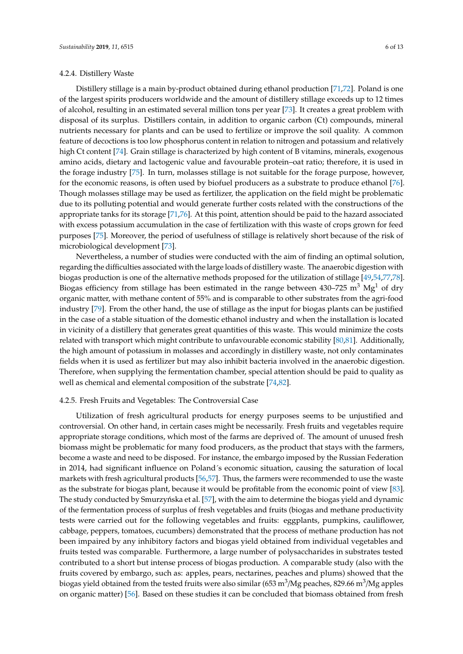### 4.2.4. Distillery Waste

Distillery stillage is a main by-product obtained during ethanol production [\[71,](#page-10-20)[72\]](#page-10-21). Poland is one of the largest spirits producers worldwide and the amount of distillery stillage exceeds up to 12 times of alcohol, resulting in an estimated several million tons per year [\[73\]](#page-10-22). It creates a great problem with disposal of its surplus. Distillers contain, in addition to organic carbon (Ct) compounds, mineral nutrients necessary for plants and can be used to fertilize or improve the soil quality. A common feature of decoctions is too low phosphorus content in relation to nitrogen and potassium and relatively high Ct content [\[74\]](#page-10-23). Grain stillage is characterized by high content of B vitamins, minerals, exogenous amino acids, dietary and lactogenic value and favourable protein–oat ratio; therefore, it is used in the forage industry [\[75\]](#page-10-24). In turn, molasses stillage is not suitable for the forage purpose, however, for the economic reasons, is often used by biofuel producers as a substrate to produce ethanol [\[76\]](#page-11-0). Though molasses stillage may be used as fertilizer, the application on the field might be problematic due to its polluting potential and would generate further costs related with the constructions of the appropriate tanks for its storage [\[71](#page-10-20)[,76\]](#page-11-0). At this point, attention should be paid to the hazard associated with excess potassium accumulation in the case of fertilization with this waste of crops grown for feed purposes [\[75\]](#page-10-24). Moreover, the period of usefulness of stillage is relatively short because of the risk of microbiological development [\[73\]](#page-10-22).

Nevertheless, a number of studies were conducted with the aim of finding an optimal solution, regarding the difficulties associated with the large loads of distillery waste. The anaerobic digestion with biogas production is one of the alternative methods proposed for the utilization of stillage [\[49,](#page-9-20)[54](#page-10-3)[,77](#page-11-1)[,78\]](#page-11-2). Biogas efficiency from stillage has been estimated in the range between  $430-725 \text{ m}^3 \text{ Mg}^1$  of dry organic matter, with methane content of 55% and is comparable to other substrates from the agri-food industry [\[79\]](#page-11-3). From the other hand, the use of stillage as the input for biogas plants can be justified in the case of a stable situation of the domestic ethanol industry and when the installation is located in vicinity of a distillery that generates great quantities of this waste. This would minimize the costs related with transport which might contribute to unfavourable economic stability [\[80,](#page-11-4)[81\]](#page-11-5). Additionally, the high amount of potassium in molasses and accordingly in distillery waste, not only contaminates fields when it is used as fertilizer but may also inhibit bacteria involved in the anaerobic digestion. Therefore, when supplying the fermentation chamber, special attention should be paid to quality as well as chemical and elemental composition of the substrate [\[74,](#page-10-23)[82\]](#page-11-6).

## 4.2.5. Fresh Fruits and Vegetables: The Controversial Case

Utilization of fresh agricultural products for energy purposes seems to be unjustified and controversial. On other hand, in certain cases might be necessarily. Fresh fruits and vegetables require appropriate storage conditions, which most of the farms are deprived of. The amount of unused fresh biomass might be problematic for many food producers, as the product that stays with the farmers, become a waste and need to be disposed. For instance, the embargo imposed by the Russian Federation in 2014, had significant influence on Poland´s economic situation, causing the saturation of local markets with fresh agricultural products [\[56](#page-10-5)[,57\]](#page-10-6). Thus, the farmers were recommended to use the waste as the substrate for biogas plant, because it would be profitable from the economic point of view [\[83\]](#page-11-7). The study conducted by Smurzyńska et al. [\[57\]](#page-10-6), with the aim to determine the biogas yield and dynamic of the fermentation process of surplus of fresh vegetables and fruits (biogas and methane productivity tests were carried out for the following vegetables and fruits: eggplants, pumpkins, cauliflower, cabbage, peppers, tomatoes, cucumbers) demonstrated that the process of methane production has not been impaired by any inhibitory factors and biogas yield obtained from individual vegetables and fruits tested was comparable. Furthermore, a large number of polysaccharides in substrates tested contributed to a short but intense process of biogas production. A comparable study (also with the fruits covered by embargo, such as: apples, pears, nectarines, peaches and plums) showed that the biogas yield obtained from the tested fruits were also similar (653 m $^3$ /Mg peaches, 829.66 m $^3$ /Mg apples on organic matter) [\[56\]](#page-10-5). Based on these studies it can be concluded that biomass obtained from fresh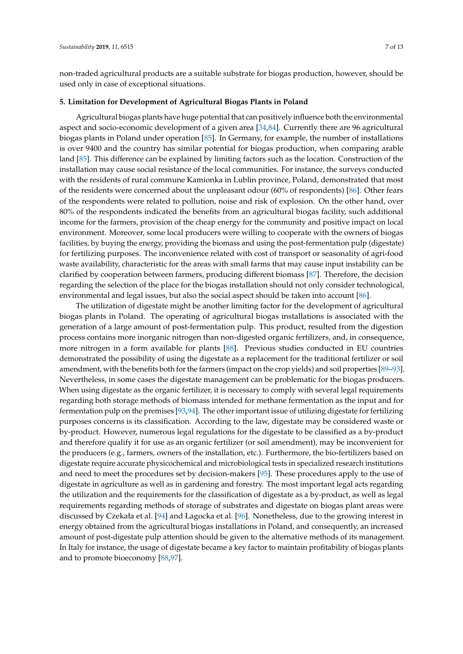non-traded agricultural products are a suitable substrate for biogas production, however, should be used only in case of exceptional situations.

# **5. Limitation for Development of Agricultural Biogas Plants in Poland**

Agricultural biogas plants have huge potential that can positively influence both the environmental aspect and socio-economic development of a given area [\[34,](#page-9-6)[84\]](#page-11-8). Currently there are 96 agricultural biogas plants in Poland under operation [\[85\]](#page-11-9). In Germany, for example, the number of installations is over 9400 and the country has similar potential for biogas production, when comparing arable land [\[85\]](#page-11-9). This difference can be explained by limiting factors such as the location. Construction of the installation may cause social resistance of the local communities. For instance, the surveys conducted with the residents of rural commune Kamionka in Lublin province, Poland, demonstrated that most of the residents were concerned about the unpleasant odour (60% of respondents) [\[86\]](#page-11-10). Other fears of the respondents were related to pollution, noise and risk of explosion. On the other hand, over 80% of the respondents indicated the benefits from an agricultural biogas facility, such additional income for the farmers, provision of the cheap energy for the community and positive impact on local environment. Moreover, some local producers were willing to cooperate with the owners of biogas facilities, by buying the energy, providing the biomass and using the post-fermentation pulp (digestate) for fertilizing purposes. The inconvenience related with cost of transport or seasonality of agri-food waste availability, characteristic for the areas with small farms that may cause input instability can be clarified by cooperation between farmers, producing different biomass [\[87\]](#page-11-11). Therefore, the decision regarding the selection of the place for the biogas installation should not only consider technological, environmental and legal issues, but also the social aspect should be taken into account [\[86\]](#page-11-10).

The utilization of digestate might be another limiting factor for the development of agricultural biogas plants in Poland. The operating of agricultural biogas installations is associated with the generation of a large amount of post-fermentation pulp. This product, resulted from the digestion process contains more inorganic nitrogen than non-digested organic fertilizers, and, in consequence, more nitrogen in a form available for plants [\[88\]](#page-11-12). Previous studies conducted in EU countries demonstrated the possibility of using the digestate as a replacement for the traditional fertilizer or soil amendment, with the benefits both for the farmers (impact on the crop yields) and soil properties [\[89–](#page-11-13)[93\]](#page-11-14). Nevertheless, in some cases the digestate management can be problematic for the biogas producers. When using digestate as the organic fertilizer, it is necessary to comply with several legal requirements regarding both storage methods of biomass intended for methane fermentation as the input and for fermentation pulp on the premises [\[93](#page-11-14)[,94\]](#page-11-15). The other important issue of utilizing digestate for fertilizing purposes concerns is its classification. According to the law, digestate may be considered waste or by-product. However, numerous legal regulations for the digestate to be classified as a by-product and therefore qualify it for use as an organic fertilizer (or soil amendment), may be inconvenient for the producers (e.g., farmers, owners of the installation, etc.). Furthermore, the bio-fertilizers based on digestate require accurate physicochemical and microbiological tests in specialized research institutions and need to meet the procedures set by decision-makers [\[95\]](#page-11-16). These procedures apply to the use of digestate in agriculture as well as in gardening and forestry. The most important legal acts regarding the utilization and the requirements for the classification of digestate as a by-product, as well as legal requirements regarding methods of storage of substrates and digestate on biogas plant areas were discussed by Czekała et al. [\[94\]](#page-11-15) and Łagocka et al. [\[96\]](#page-11-17). Nonetheless, due to the growing interest in energy obtained from the agricultural biogas installations in Poland, and consequently, an increased amount of post-digestate pulp attention should be given to the alternative methods of its management. In Italy for instance, the usage of digestate became a key factor to maintain profitability of biogas plants and to promote bioeconomy [\[88](#page-11-12)[,97\]](#page-11-18).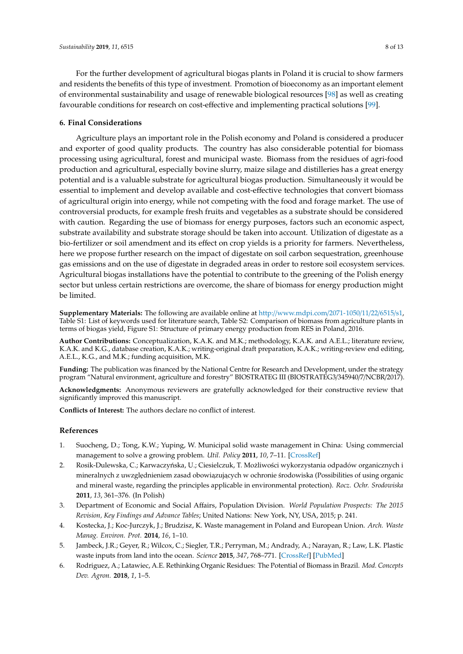For the further development of agricultural biogas plants in Poland it is crucial to show farmers and residents the benefits of this type of investment. Promotion of bioeconomy as an important element of environmental sustainability and usage of renewable biological resources [\[98\]](#page-12-0) as well as creating favourable conditions for research on cost-effective and implementing practical solutions [\[99\]](#page-12-1).

## **6. Final Considerations**

Agriculture plays an important role in the Polish economy and Poland is considered a producer and exporter of good quality products. The country has also considerable potential for biomass processing using agricultural, forest and municipal waste. Biomass from the residues of agri-food production and agricultural, especially bovine slurry, maize silage and distilleries has a great energy potential and is a valuable substrate for agricultural biogas production. Simultaneously it would be essential to implement and develop available and cost-effective technologies that convert biomass of agricultural origin into energy, while not competing with the food and forage market. The use of controversial products, for example fresh fruits and vegetables as a substrate should be considered with caution. Regarding the use of biomass for energy purposes, factors such an economic aspect, substrate availability and substrate storage should be taken into account. Utilization of digestate as a bio-fertilizer or soil amendment and its effect on crop yields is a priority for farmers. Nevertheless, here we propose further research on the impact of digestate on soil carbon sequestration, greenhouse gas emissions and on the use of digestate in degraded areas in order to restore soil ecosystem services. Agricultural biogas installations have the potential to contribute to the greening of the Polish energy sector but unless certain restrictions are overcome, the share of biomass for energy production might be limited.

**Supplementary Materials:** The following are available online at http://[www.mdpi.com](http://www.mdpi.com/2071-1050/11/22/6515/s1)/2071-1050/11/22/6515/s1, Table S1: List of keywords used for literature search, Table S2: Comparison of biomass from agriculture plants in terms of biogas yield, Figure S1: Structure of primary energy production from RES in Poland, 2016.

**Author Contributions:** Conceptualization, K.A.K. and M.K.; methodology, K.A.K. and A.E.L.; literature review, K.A.K. and K.G., database creation, K.A.K.; writing-original draft preparation, K.A.K.; writing-review end editing, A.E.L., K.G., and M.K.; funding acquisition, M.K.

**Funding:** The publication was financed by the National Centre for Research and Development, under the strategy program "Natural environment, agriculture and forestry" BIOSTRATEG III (BIOSTRATEG3/345940/7/NCBR/2017).

**Acknowledgments:** Anonymous reviewers are gratefully acknowledged for their constructive review that significantly improved this manuscript.

**Conflicts of Interest:** The authors declare no conflict of interest.

## **References**

- <span id="page-7-0"></span>1. Suocheng, D.; Tong, K.W.; Yuping, W. Municipal solid waste management in China: Using commercial management to solve a growing problem. *Util. Policy* **2011**, *10*, 7–11. [\[CrossRef\]](http://dx.doi.org/10.1016/S0957-1787(02)00011-5)
- <span id="page-7-1"></span>2. Rosik-Dulewska, C.; Karwaczyńska, U.; Ciesielczuk, T. Możliwości wykorzystania odpadów organicznych i mineralnych z uwzględnieniem zasad obowiązujących w ochronie środowiska (Possibilities of using organic and mineral waste, regarding the principles applicable in environmental protection). *Rocz. Ochr. Srodowiska* **2011**, *13*, 361–376. (In Polish)
- <span id="page-7-2"></span>3. Department of Economic and Social Affairs, Population Division. *World Population Prospects: The 2015 Revision, Key Findings and Advance Tables*; United Nations: New York, NY, USA, 2015; p. 241.
- <span id="page-7-3"></span>4. Kostecka, J.; Koc-Jurczyk, J.; Brudzisz, K. Waste management in Poland and European Union. *Arch. Waste Manag. Environ. Prot.* **2014**, *16*, 1–10.
- <span id="page-7-4"></span>5. Jambeck, J.R.; Geyer, R.; Wilcox, C.; Siegler, T.R.; Perryman, M.; Andrady, A.; Narayan, R.; Law, L.K. Plastic waste inputs from land into the ocean. *Science* **2015**, *347*, 768–771. [\[CrossRef\]](http://dx.doi.org/10.1126/science.1260352) [\[PubMed\]](http://www.ncbi.nlm.nih.gov/pubmed/25678662)
- <span id="page-7-5"></span>6. Rodriguez, A.; Latawiec, A.E. Rethinking Organic Residues: The Potential of Biomass in Brazil. *Mod. Concepts Dev. Agron.* **2018**, *1*, 1–5.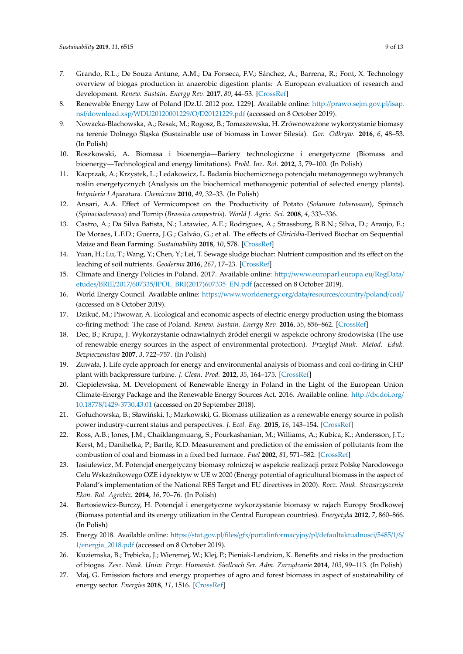- <span id="page-8-0"></span>7. Grando, R.L.; De Souza Antune, A.M.; Da Fonseca, F.V.; Sánchez, A.; Barrena, R.; Font, X. Technology overview of biogas production in anaerobic digestion plants: A European evaluation of research and development. *Renew. Sustain. Energy Rev.* **2017**, *80*, 44–53. [\[CrossRef\]](http://dx.doi.org/10.1016/j.rser.2017.05.079)
- <span id="page-8-1"></span>8. Renewable Energy Law of Poland [Dz.U. 2012 poz. 1229]. Available online: http://[prawo.sejm.gov.pl](http://prawo.sejm.gov.pl/isap.nsf/download.xsp/WDU20120001229/O/D20121229.pdf)/isap. nsf/download.xsp/[WDU20120001229](http://prawo.sejm.gov.pl/isap.nsf/download.xsp/WDU20120001229/O/D20121229.pdf)/O/D20121229.pdf (accessed on 8 October 2019).
- <span id="page-8-2"></span>9. Nowacka-Blachowska, A.; Resak, M.; Rogosz, B.; Tomaszewska, H. Zrównoważone wykorzystanie biomasy na terenie Dolnego Śląska (Sustainable use of biomass in Lower Silesia). *Gor. Odkryw.* **2016**, *6*, 48–53. (In Polish)
- <span id="page-8-3"></span>10. Roszkowski, A. Biomasa i bioenergia—Bariery technologiczne i energetyczne (Biomass and bioenergy—Technological and energy limitations). *Probl. Inz. Rol.* **2012**, *3*, 79–100. (In Polish)
- <span id="page-8-4"></span>11. Kacprzak, A.; Krzystek, L.; Ledakowicz, L. Badania biochemicznego potencjału metanogennego wybranych roślin energetycznych (Analysis on the biochemical methanogenic potential of selected energy plants). *In˙zynieria I Aparatura. Chemiczna* **2010**, *49*, 32–33. (In Polish)
- <span id="page-8-5"></span>12. Ansari, A.A. Effect of Vermicompost on the Productivity of Potato (*Solanum tuberosum*), Spinach (*Spinaciaoleracea*) and Turnip (*Brassica campestris*). *World J. Agric. Sci.* **2008**, *4*, 333–336.
- <span id="page-8-6"></span>13. Castro, A.; Da Silva Batista, N.; Latawiec, A.E.; Rodrigues, A.; Strassburg, B.B.N.; Silva, D.; Araujo, E.; De Moraes, L.F.D.; Guerra, J.G.; Galvão, G.; et al. The effects of *Gliricidia*-Derived Biochar on Sequential Maize and Bean Farming. *Sustainability* **2018**, *10*, 578. [\[CrossRef\]](http://dx.doi.org/10.3390/su10030578)
- <span id="page-8-7"></span>14. Yuan, H.; Lu, T.; Wang, Y.; Chen, Y.; Lei, T. Sewage sludge biochar: Nutrient composition and its effect on the leaching of soil nutrients. *Geoderma* **2016**, *267*, 17–23. [\[CrossRef\]](http://dx.doi.org/10.1016/j.geoderma.2015.12.020)
- <span id="page-8-8"></span>15. Climate and Energy Policies in Poland. 2017. Available online: http://[www.europarl.europa.eu](http://www.europarl.europa.eu/RegData/etudes/BRIE/2017/607335/IPOL_BRI(2017)607335_EN.pdf)/RegData/ etudes/BRIE/2017/607335/[IPOL\\_BRI\(2017\)607335\\_EN.pdf](http://www.europarl.europa.eu/RegData/etudes/BRIE/2017/607335/IPOL_BRI(2017)607335_EN.pdf) (accessed on 8 October 2019).
- <span id="page-8-9"></span>16. World Energy Council. Available online: https://[www.worldenergy.org](https://www.worldenergy.org/data/resources/country/poland/coal/)/data/resources/country/poland/coal/ (accessed on 8 October 2019).
- <span id="page-8-10"></span>17. Dzikuć, M.; Piwowar, A. Ecological and economic aspects of electric energy production using the biomass co-firing method: The case of Poland. *Renew. Sustain. Energy Rev.* **2016**, *55*, 856–862. [\[CrossRef\]](http://dx.doi.org/10.1016/j.rser.2015.11.027)
- <span id="page-8-11"></span>18. Dec, B.; Krupa, J. Wykorzystanie odnawialnych źródeł energii w aspekcie ochrony środowiska (The use of renewable energy sources in the aspect of environmental protection). *Przegląd Nauk. Metod. Eduk. Bezpieczenstwa* **2007**, *3*, 722–757. (In Polish)
- <span id="page-8-12"></span>19. Zuwała, J. Life cycle approach for energy and environmental analysis of biomass and coal co-firing in CHP plant with backpressure turbine. *J. Clean. Prod.* **2012**, *35*, 164–175. [\[CrossRef\]](http://dx.doi.org/10.1016/j.jclepro.2012.06.001)
- <span id="page-8-13"></span>20. Ciepielewska, M. Development of Renewable Energy in Poland in the Light of the European Union Climate-Energy Package and the Renewable Energy Sources Act. 2016. Available online: http://[dx.doi.org](http://dx.doi.org/10.18778/1429-3730.43.01)/ 10.18778/[1429-3730.43.01](http://dx.doi.org/10.18778/1429-3730.43.01) (accessed on 20 September 2018).
- <span id="page-8-14"></span>21. Gołuchowska, B.; Sławiński, J.; Markowski, G. Biomass utilization as a renewable energy source in polish power industry-current status and perspectives. *J. Ecol. Eng.* **2015**, *16*, 143–154. [\[CrossRef\]](http://dx.doi.org/10.12911/22998993/2948)
- 22. Ross, A.B.; Jones, J.M.; Chaiklangmuang, S.; Pourkashanian, M.; Williams, A.; Kubica, K.; Andersson, J.T.; Kerst, M.; Danihelka, P.; Bartle, K.D. Measurement and prediction of the emission of pollutants from the combustion of coal and biomass in a fixed bed furnace. *Fuel* **2002**, *81*, 571–582. [\[CrossRef\]](http://dx.doi.org/10.1016/S0016-2361(01)00157-0)
- <span id="page-8-15"></span>23. Jasiulewicz, M. Potencjał energetyczny biomasy rolniczej w aspekcie realizacji przez Polskę Narodowego Celu Wskaźnikowego OZE i dyrektyw w UE w 2020 (Energy potential of agricultural biomass in the aspect of Poland's implementation of the National RES Target and EU directives in 2020). *Rocz. Nauk. Stowarzyszenia Ekon. Rol. Agrobiz.* **2014**, *16*, 70–76. (In Polish)
- <span id="page-8-16"></span>24. Bartosiewicz-Burczy, H. Potencjał i energetyczne wykorzystanie biomasy w rajach Europy Srodkowej (Biomass potential and its energy utilization in the Central European countries). *Energetyka* **2012**, *7*, 860–866. (In Polish)
- <span id="page-8-17"></span>25. Energy 2018. Available online: https://stat.gov.pl/files/gfx/[portalinformacyjny](https://stat.gov.pl/files/gfx/portalinformacyjny/pl/defaultaktualnosci/5485/1/6/1/energia_2018.pdf)/pl/defaultaktualnosci/5485/1/6/ 1/[energia\\_2018.pdf](https://stat.gov.pl/files/gfx/portalinformacyjny/pl/defaultaktualnosci/5485/1/6/1/energia_2018.pdf) (accessed on 8 October 2019).
- <span id="page-8-18"></span>26. Kuziemska, B.; Tr˛ebicka, J.; Wieremej, W.; Klej, P.; Pieniak-Lendzion, K. Benefits and risks in the production of biogas. *Zesz. Nauk. Uniw. Przyr. Humanist. Siedlcach Ser. Adm. Zarz ˛adzanie* **2014**, *103*, 99–113. (In Polish)
- <span id="page-8-19"></span>27. Maj, G. Emission factors and energy properties of agro and forest biomass in aspect of sustainability of energy sector. *Energies* **2018**, *11*, 1516. [\[CrossRef\]](http://dx.doi.org/10.3390/en11061516)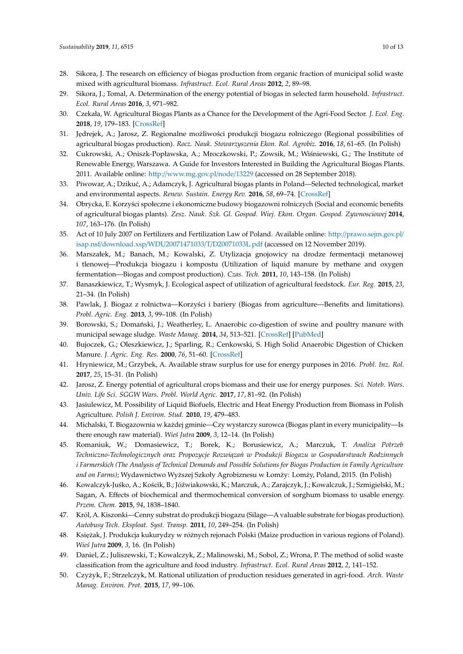- <span id="page-9-0"></span>28. Sikora, J. The research on efficiency of biogas production from organic fraction of municipal solid waste mixed with agricultural biomass. *Infrastruct. Ecol. Rural Areas* **2012**, *2*, 89–98.
- <span id="page-9-1"></span>29. Sikora, J.; Tomal, A. Determination of the energy potential of biogas in selected farm household. *Infrastruct. Ecol. Rural Areas* **2016**, *3*, 971–982.
- <span id="page-9-2"></span>30. Czekała, W. Agricultural Biogas Plants as a Chance for the Development of the Agri-Food Sector. *J. Ecol. Eng.* **2018**, *19*, 179–183. [\[CrossRef\]](http://dx.doi.org/10.12911/22998993/83563)
- <span id="page-9-3"></span>31. Jędrejek, A.; Jarosz, Z. Regionalne możliwości produkcji biogazu rolniczego (Regional possibilities of agricultural biogas production). *Rocz. Nauk. Stowarzyszenia Ekon. Rol. Agrobiz.* **2016**, *18*, 61–65. (In Polish)
- <span id="page-9-4"></span>32. Cukrowski, A.; Oniszk-Popławska, A.; Mroczkowski, P.; Zowsik, M.; Wiśniewski, G.; The Institute of Renewable Energy, Warszawa. A Guide for Investors Interested in Building the Agricultural Biogas Plants. 2011. Available online: http://[www.mg.gov.pl](http://www.mg.gov.pl/node/13229)/node/13229 (accessed on 28 September 2018).
- <span id="page-9-5"></span>33. Piwowar, A.; Dziku´c, A.; Adamczyk, J. Agricultural biogas plants in Poland—Selected technological, market and environmental aspects. *Renew. Sustain. Energy Rev.* **2016**, *58*, 69–74. [\[CrossRef\]](http://dx.doi.org/10.1016/j.rser.2015.12.153)
- <span id="page-9-6"></span>34. Obrycka, E. Korzyści społeczne i ekonomiczne budowy biogazowni rolniczych (Social and economic benefits of agricultural biogas plants). *Zesz. Nauk. Szk. Gl. Gospod. Wiej. Ekon. Organ. Gospod. Zywnosciowej* **2014**, *107*, 163–176. (In Polish)
- <span id="page-9-7"></span>35. Act of 10 July 2007 on Fertilizers and Fertilization Law of Poland. Available online: http://[prawo.sejm.gov.pl](http://prawo.sejm.gov.pl/isap.nsf/download.xsp/WDU20071471033/T/D20071033L.pdf)/ isap.nsf/download.xsp/[WDU20071471033](http://prawo.sejm.gov.pl/isap.nsf/download.xsp/WDU20071471033/T/D20071033L.pdf)/T/D20071033L.pdf (accessed on 12 November 2019).
- <span id="page-9-8"></span>36. Marszałek, M.; Banach, M.; Kowalski, Z. Utylizacja gnojowicy na drodze fermentacji metanowej i tlenowej—Produkcja biogazu i kompostu (Utilization of liquid manure by methane and oxygen fermentation—Biogas and compost production). *Czas. Tech.* **2011**, *10*, 143–158. (In Polish)
- <span id="page-9-9"></span>37. Banaszkiewicz, T.; Wysmyk, J. Ecological aspect of utilization of agricultural feedstock. *Eur. Reg.* **2015**, *23*, 21–34. (In Polish)
- <span id="page-9-10"></span>38. Pawlak, J. Biogaz z rolnictwa—Korzyści i bariery (Biogas from agriculture—Benefits and limitations). *Probl. Agric. Eng.* **2013**, *3*, 99–108. (In Polish)
- <span id="page-9-11"></span>39. Borowski, S.; Domański, J.; Weatherley, L. Anaerobic co-digestion of swine and poultry manure with municipal sewage sludge. *Waste Manag.* **2014**, *34*, 513–521. [\[CrossRef\]](http://dx.doi.org/10.1016/j.wasman.2013.10.022) [\[PubMed\]](http://www.ncbi.nlm.nih.gov/pubmed/24280622)
- <span id="page-9-12"></span>40. Bujoczek, G.; Oleszkiewicz, J.; Sparling, R.; Cenkowski, S. High Solid Anaerobic Digestion of Chicken Manure. *J. Agric. Eng. Res.* **2000**, *76*, 51–60. [\[CrossRef\]](http://dx.doi.org/10.1006/jaer.2000.0529)
- <span id="page-9-13"></span>41. Hryniewicz, M.; Grzybek, A. Available straw surplus for use for energy purposes in 2016. *Probl. Inz. Rol.* **2017**, *25*, 15–31. (In Polish)
- <span id="page-9-14"></span>42. Jarosz, Z. Energy potential of agricultural crops biomass and their use for energy purposes. *Sci. Noteb. Wars. Univ. Life Sci. SGGW Wars. Probl. World Agric.* **2017**, *17*, 81–92. (In Polish)
- <span id="page-9-15"></span>43. Jasiulewicz, M. Possibility of Liquid Biofuels, Electric and Heat Energy Production from Biomass in Polish Agriculture. *Polish J. Environ. Stud.* **2010**, *19*, 479–483.
- <span id="page-9-16"></span>44. Michalski, T. Biogazownia w każdej gminie—Czy wystarczy surowca (Biogas plant in every municipality—Is there enough raw material). *Wie´s Jutra* **2009**, *3*, 12–14. (In Polish)
- <span id="page-9-17"></span>45. Romaniuk, W.; Domasiewicz, T.; Borek, K.; Borusiewicz, A.; Marczuk, T. *Analiza Potrzeb* Techniczno-Technologicznych oraz Propozycje Rozwiązań w Produkcji Biogazu w Gospodarstwach Rodzinnych *i Farmerskich (The Analysis of Technical Demands and Possible Solutions for Biogas Production in Family Agriculture* and on Farms); Wydawnictwo Wyższej Szkoły Agrobiznesu w Łomży: Lomży, Poland, 2015. (In Polish)
- 46. Kowalczyk-Juśko, A.; Kościk, B.; Jóźwiakowski, K.; Marczuk, A.; Zarajczyk, J.; Kowalczuk, J.; Szmigielski, M.; Sagan, A. Effects of biochemical and thermochemical conversion of sorghum biomass to usable energy. *Przem. Chem.* **2015**, *94*, 1838–1840.
- <span id="page-9-18"></span>47. Król, A. Kiszonki—Cenny substrat do produkcji biogazu (Silage—A valuable substrate for biogas production). *Autobusy Tech. Eksploat. Syst. Transp.* **2011**, *10*, 249–254. (In Polish)
- <span id="page-9-19"></span>48. Księżak, J. Produkcja kukurydzy w różnych rejonach Polski (Maize production in various regions of Poland). *Wie´s Jutra* **2009**, *3*, 16. (In Polish)
- <span id="page-9-20"></span>49. Daniel, Z.; Juliszewski, T.; Kowalczyk, Z.; Malinowski, M.; Sobol, Z.; Wrona, P. The method of solid waste classification from the agriculture and food industry. *Infrastruct. Ecol. Rural Areas* **2012**, *2*, 141–152.
- <span id="page-9-21"></span>50. Czy˙zyk, F.; Strzelczyk, M. Rational utilization of production residues generated in agri-food. *Arch. Waste Manag. Environ. Prot.* **2015**, *17*, 99–106.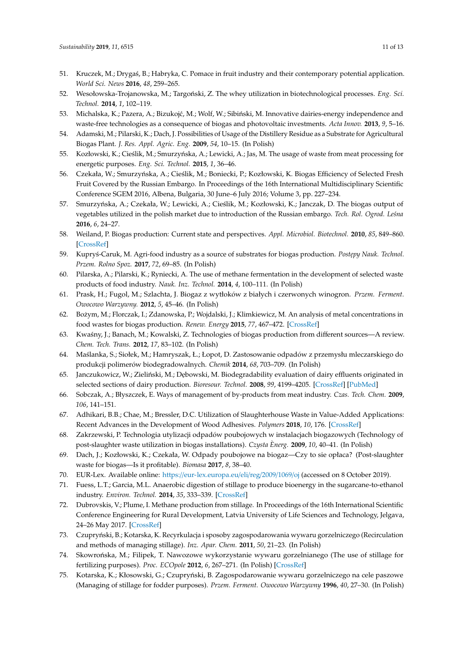- <span id="page-10-0"></span>51. Kruczek, M.; Drygaś, B.; Habryka, C. Pomace in fruit industry and their contemporary potential application. *World Sci. News* **2016**, *48*, 259–265.
- <span id="page-10-1"></span>52. Wesołowska-Trojanowska, M.; Targoński, Z. The whey utilization in biotechnological processes. *Eng. Sci. Technol.* **2014**, *1*, 102–119.
- <span id="page-10-2"></span>53. Michalska, K.; Pazera, A.; Bizukojć, M.; Wolf, W.; Sibiński, M. Innovative dairies-energy independence and waste-free technologies as a consequence of biogas and photovoltaic investments. *Acta Innov.* **2013**, *9*, 5–16.
- <span id="page-10-3"></span>54. Adamski, M.; Pilarski, K.; Dach, J. Possibilities of Usage of the Distillery Residue as a Substrate for Agricultural Biogas Plant. *J. Res. Appl. Agric. Eng.* **2009**, *54*, 10–15. (In Polish)
- <span id="page-10-4"></span>55. Kozłowski, K.; Cieślik, M.; Smurzyńska, A.; Lewicki, A.; Jas, M. The usage of waste from meat processing for energetic purposes. *Eng. Sci. Technol.* **2015**, *1*, 36–46.
- <span id="page-10-5"></span>56. Czekała, W.; Smurzyńska, A.; Cieślik, M.; Boniecki, P.; Kozłowski, K. Biogas Efficiency of Selected Fresh Fruit Covered by the Russian Embargo. In Proceedings of the 16th International Multidisciplinary Scientific Conference SGEM 2016, Albena, Bulgaria, 30 June–6 July 2016; Volume 3, pp. 227–234.
- <span id="page-10-6"></span>57. Smurzyńska, A.; Czekała, W.; Lewicki, A.; Cieślik, M.; Kozłowski, K.; Janczak, D. The biogas output of vegetables utilized in the polish market due to introduction of the Russian embargo. *Tech. Rol. Ogrod. Le´sna* **2016**, *6*, 24–27.
- <span id="page-10-7"></span>58. Weiland, P. Biogas production: Current state and perspectives. *Appl. Microbiol. Biotechnol.* **2010**, *85*, 849–860. [\[CrossRef\]](http://dx.doi.org/10.1007/s00253-009-2246-7)
- <span id="page-10-8"></span>59. Kupry´s-Caruk, M. Agri-food industry as a source of substrates for biogas production. *Post˛epy Nauk. Technol. Przem. Rolno Spoz.* **2017**, *72*, 69–85. (In Polish)
- <span id="page-10-9"></span>60. Pilarska, A.; Pilarski, K.; Ryniecki, A. The use of methane fermentation in the development of selected waste products of food industry. *Nauk. Inz. Technol.* **2014**, *4*, 100–111. (In Polish)
- <span id="page-10-10"></span>61. Prask, H.; Fugol, M.; Szlachta, J. Biogaz z wytłoków z białych i czerwonych winogron. *Przem. Ferment. Owocowo Warzywny.* **2012**, *5*, 45–46. (In Polish)
- <span id="page-10-11"></span>62. Bożym, M.; Florczak, I.; Zdanowska, P.; Wojdalski, J.; Klimkiewicz, M. An analysis of metal concentrations in food wastes for biogas production. *Renew. Energy* **2015**, *77*, 467–472. [\[CrossRef\]](http://dx.doi.org/10.1016/j.renene.2014.11.010)
- <span id="page-10-12"></span>63. Kwa´sny, J.; Banach, M.; Kowalski, Z. Technologies of biogas production from different sources—A review. *Chem. Tech. Trans.* **2012**, *17*, 83–102. (In Polish)
- <span id="page-10-13"></span>64. Ma´slanka, S.; Siołek, M.; Hamryszak, Ł.; Łopot, D. Zastosowanie odpadów z przemysłu mleczarskiego do produkcji polimerów biodegradowalnych. *Chemik* **2014**, *68*, 703–709. (In Polish)
- <span id="page-10-14"></span>65. Janczukowicz, W.; Zieliński, M.; Dębowski, M. Biodegradability evaluation of dairy effluents originated in selected sections of dairy production. *Bioresour. Technol.* **2008**, *99*, 4199–4205. [\[CrossRef\]](http://dx.doi.org/10.1016/j.biortech.2007.08.077) [\[PubMed\]](http://www.ncbi.nlm.nih.gov/pubmed/17976980)
- <span id="page-10-15"></span>66. Sobczak, A.; Błyszczek, E. Ways of management of by-products from meat industry. *Czas. Tech. Chem.* **2009**, *106*, 141–151.
- <span id="page-10-16"></span>67. Adhikari, B.B.; Chae, M.; Bressler, D.C. Utilization of Slaughterhouse Waste in Value-Added Applications: Recent Advances in the Development of Wood Adhesives. *Polymers* **2018**, *10*, 176. [\[CrossRef\]](http://dx.doi.org/10.3390/polym10020176)
- <span id="page-10-17"></span>68. Zakrzewski, P. Technologia utylizacji odpadów poubojowych w instalacjach biogazowych (Technology of post-slaughter waste utilization in biogas installations). *Czysta Ènerg.* **2009**, *10*, 40–41. (In Polish)
- <span id="page-10-18"></span>69. Dach, J.; Kozłowski, K.; Czekała, W. Odpady poubojowe na biogaz—Czy to sie opłaca? (Post-slaughter waste for biogas—Is it profitable). *Biomasa* **2017**, *8*, 38–40.
- <span id="page-10-19"></span>70. EUR-Lex. Available online: https://[eur-lex.europa.eu](https://eur-lex.europa.eu/eli/reg/2009/1069/oj)/eli/reg/2009/1069/oj (accessed on 8 October 2019).
- <span id="page-10-20"></span>71. Fuess, L.T.; Garcia, M.L. Anaerobic digestion of stillage to produce bioenergy in the sugarcane-to-ethanol industry. *Environ. Technol.* **2014**, *35*, 333–339. [\[CrossRef\]](http://dx.doi.org/10.1080/09593330.2013.827745)
- <span id="page-10-21"></span>72. Dubrovskis, V.; Plume, I. Methane production from stillage. In Proceedings of the 16th International Scientific Conference Engineering for Rural Development, Latvia University of Life Sciences and Technology, Jelgava, 24–26 May 2017. [\[CrossRef\]](http://dx.doi.org/10.22616/ERDev2017.16.N086)
- <span id="page-10-22"></span>73. Czupryński, B.; Kotarska, K. Recyrkulacja i sposoby zagospodarowania wywaru gorzelniczego (Recirculation and methods of managing stillage). *Inz. Apar. Chem.* **2011**, *50*, 21–23. (In Polish)
- <span id="page-10-23"></span>74. Skowrońska, M.; Filipek, T. Nawozowe wykorzystanie wywaru gorzelnianego (The use of stillage for fertilizing purposes). *Proc. ECOpole* **2012**, *6*, 267–271. (In Polish) [\[CrossRef\]](http://dx.doi.org/10.2429/proc.2012.6(1)036)
- <span id="page-10-24"></span>75. Kotarska, K.; Kłosowski, G.; Czupryński, B. Zagospodarowanie wywaru gorzelniczego na cele paszowe (Managing of stillage for fodder purposes). *Przem. Ferment. Owocowo Warzywny* **1996**, *40*, 27–30. (In Polish)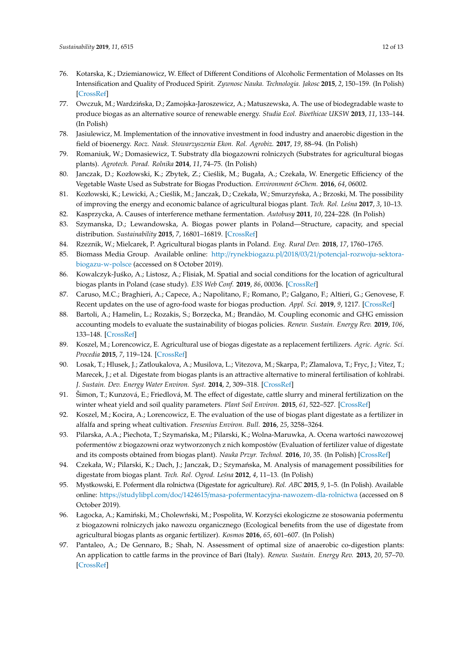- <span id="page-11-0"></span>76. Kotarska, K.; Dziemianowicz, W. Effect of Different Conditions of Alcoholic Fermentation of Molasses on Its Intensification and Quality of Produced Spirit. *Zywnosc Nauka. Technologia. Jakosc* **2015**, *2*, 150–159. (In Polish) [\[CrossRef\]](http://dx.doi.org/10.15193/zntj/2015/99/029)
- <span id="page-11-1"></span>77. Owczuk, M.; Wardzińska, D.; Zamojska-Jaroszewicz, A.; Matuszewska, A. The use of biodegradable waste to produce biogas as an alternative source of renewable energy. *Studia Ecol. Bioethicae UKSW* **2013**, *11*, 133–144. (In Polish)
- <span id="page-11-2"></span>78. Jasiulewicz, M. Implementation of the innovative investment in food industry and anaerobic digestion in the field of bioenergy. *Rocz. Nauk. Stowarzyszenia Ekon. Rol. Agrobiz.* **2017**, *19*, 88–94. (In Polish)
- <span id="page-11-3"></span>79. Romaniuk, W.; Domasiewicz, T. Substraty dla biogazowni rolniczych (Substrates for agricultural biogas plants). *Agrotech. Porad. Rolnika* **2014**, *11*, 74–75. (In Polish)
- <span id="page-11-4"></span>80. Janczak, D.; Kozłowski, K.; Zbytek, Z.; Cieślik, M.; Bugała, A.; Czekała, W. Energetic Efficiency of the Vegetable Waste Used as Substrate for Biogas Production. *Environment &Chem.* **2016**, *64*, 06002.
- <span id="page-11-5"></span>81. Kozłowski, K.; Lewicki, A.; Cieślik, M.; Janczak, D.; Czekała, W.; Smurzyńska, A.; Brzoski, M. The possibility of improving the energy and economic balance of agricultural biogas plant. *Tech. Rol. Le´sna* **2017**, *3*, 10–13.
- <span id="page-11-6"></span>82. Kasprzycka, A. Causes of interference methane fermentation. *Autobusy* **2011**, *10*, 224–228. (In Polish)
- <span id="page-11-7"></span>83. Szymanska, D.; Lewandowska, A. Biogas power plants in Poland—Structure, capacity, and special distribution. *Sustainability* **2015**, *7*, 16801–16819. [\[CrossRef\]](http://dx.doi.org/10.3390/su71215846)
- <span id="page-11-8"></span>84. Rzeznik, W.; Mielcarek, P. Agricultural biogas plants in Poland. *Eng. Rural Dev.* **2018**, *17*, 1760–1765.
- <span id="page-11-9"></span>85. Biomass Media Group. Available online: http://rynekbiogazu.pl/2018/03/21/[potencjal-rozwoju-sektora](http://rynekbiogazu.pl/2018/03/21/potencjal-rozwoju-sektora-biogazu-w-polsce)[biogazu-w-polsce](http://rynekbiogazu.pl/2018/03/21/potencjal-rozwoju-sektora-biogazu-w-polsce) (accessed on 8 October 2019).
- <span id="page-11-10"></span>86. Kowalczyk-Juśko, A.; Listosz, A.; Flisiak, M. Spatial and social conditions for the location of agricultural biogas plants in Poland (case study). *E3S Web Conf.* **2019**, *86*, 00036. [\[CrossRef\]](http://dx.doi.org/10.1051/e3sconf/20198600036)
- <span id="page-11-11"></span>87. Caruso, M.C.; Braghieri, A.; Capece, A.; Napolitano, F.; Romano, P.; Galgano, F.; Altieri, G.; Genovese, F. Recent updates on the use of agro-food waste for biogas production. *Appl. Sci.* **2019**, *9*, 1217. [\[CrossRef\]](http://dx.doi.org/10.3390/app9061217)
- <span id="page-11-12"></span>88. Bartoli, A.; Hamelin, L.; Rozakis, S.; Borzęcka, M.; Brandão, M. Coupling economic and GHG emission accounting models to evaluate the sustainability of biogas policies. *Renew. Sustain. Energy Rev.* **2019**, *106*, 133–148. [\[CrossRef\]](http://dx.doi.org/10.1016/j.rser.2019.02.031)
- <span id="page-11-13"></span>89. Koszel, M.; Lorencowicz, E. Agricultural use of biogas digestate as a replacement fertilizers. *Agric. Agric. Sci. Procedia* **2015**, *7*, 119–124. [\[CrossRef\]](http://dx.doi.org/10.1016/j.aaspro.2015.12.004)
- 90. Losak, T.; Hlusek, J.; Zatloukalova, A.; Musilova, L.; Vitezova, M.; Skarpa, P.; Zlamalova, T.; Fryc, J.; Vitez, T.; Marecek, J.; et al. Digestate from biogas plants is an attractive alternative to mineral fertilisation of kohlrabi. *J. Sustain. Dev. Energy Water Environ. Syst.* **2014**, *2*, 309–318. [\[CrossRef\]](http://dx.doi.org/10.13044/j.sdewes.2014.02.0025)
- 91. Šimon, T.; Kunzová, E.; Friedlová, M. The effect of digestate, cattle slurry and mineral fertilization on the winter wheat yield and soil quality parameters. *Plant Soil Environ.* **2015**, *61*, 522–527. [\[CrossRef\]](http://dx.doi.org/10.17221/530/2015-PSE)
- 92. Koszel, M.; Kocira, A.; Lorencowicz, E. The evaluation of the use of biogas plant digestate as a fertilizer in alfalfa and spring wheat cultivation. *Fresenius Environ. Bull.* **2016**, *25*, 3258–3264.
- <span id="page-11-14"></span>93. Pilarska, A.A.; Piechota, T.; Szymańska, M.; Pilarski, K.; Wolna-Maruwka, A. Ocena wartości nawozowej pofermentów z biogazowni oraz wytworzonych z nich kompostów (Evaluation of fertilizer value of digestate and its composts obtained from biogas plant). *Nauka Przyr. Technol.* **2016**, *10*, 35. (In Polish) [\[CrossRef\]](http://dx.doi.org/10.17306/J.NPT.2016.3.35)
- <span id="page-11-15"></span>94. Czekała, W.; Pilarski, K.; Dach, J.; Janczak, D.; Szymańska, M. Analysis of management possibilities for digestate from biogas plant. *Tech. Rol. Ogrod. Le´sna* **2012**, *4*, 11–13. (In Polish)
- <span id="page-11-16"></span>95. Mystkowski, E. Poferment dla rolnictwa (Digestate for agriculture). *Rol. ABC* **2015**, *9*, 1–5. (In Polish). Available online: https://studylibpl.com/doc/1424615/[masa-pofermentacyjna-nawozem-dla-rolnictwa](https://studylibpl.com/doc/1424615/masa-pofermentacyjna-nawozem-dla-rolnictwa) (accessed on 8 October 2019).
- <span id="page-11-17"></span>96. Łagocka, A.; Kamiński, M.; Cholewński, M.; Pospolita, W. Korzyści ekologiczne ze stosowania pofermentu z biogazowni rolniczych jako nawozu organicznego (Ecological benefits from the use of digestate from agricultural biogas plants as organic fertilizer). *Kosmos* **2016**, *65*, 601–607. (In Polish)
- <span id="page-11-18"></span>97. Pantaleo, A.; De Gennaro, B.; Shah, N. Assessment of optimal size of anaerobic co-digestion plants: An application to cattle farms in the province of Bari (Italy). *Renew. Sustain. Energy Rev.* **2013**, *20*, 57–70. [\[CrossRef\]](http://dx.doi.org/10.1016/j.rser.2012.11.068)